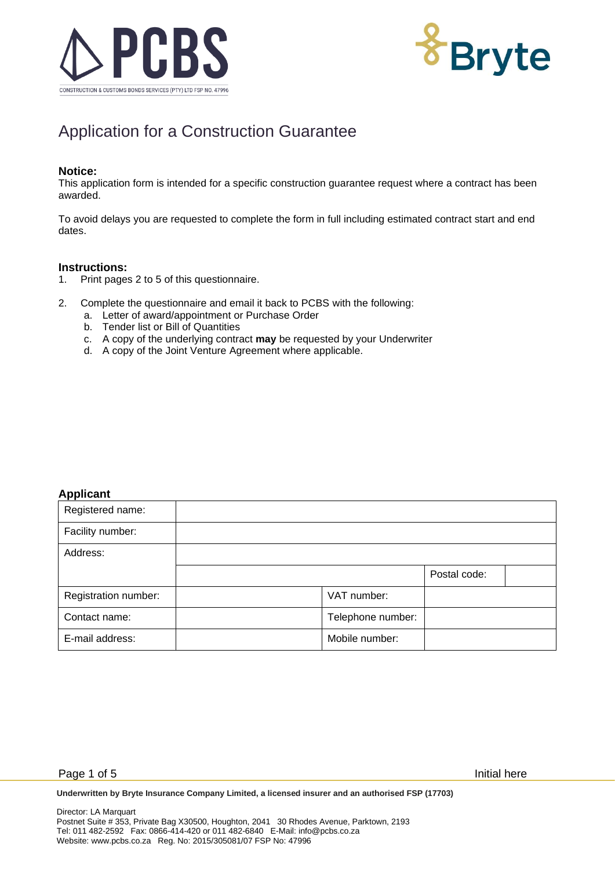



# Application for a Construction Guarantee

#### **Notice:**

This application form is intended for a specific construction guarantee request where a contract has been awarded.

To avoid delays you are requested to complete the form in full including estimated contract start and end dates.

#### **Instructions:**

- 1. Print pages 2 to 5 of this questionnaire.
- 2. Complete the questionnaire and email it back to PCBS with the following:
	- a. Letter of award/appointment or Purchase Order
	- b. Tender list or Bill of Quantities
	- c. A copy of the underlying contract **may** be requested by your Underwriter
	- d. A copy of the Joint Venture Agreement where applicable.

## **Applicant**

| Registered name:     |                   |              |  |
|----------------------|-------------------|--------------|--|
| Facility number:     |                   |              |  |
| Address:             |                   |              |  |
|                      |                   | Postal code: |  |
| Registration number: | VAT number:       |              |  |
| Contact name:        | Telephone number: |              |  |
| E-mail address:      | Mobile number:    |              |  |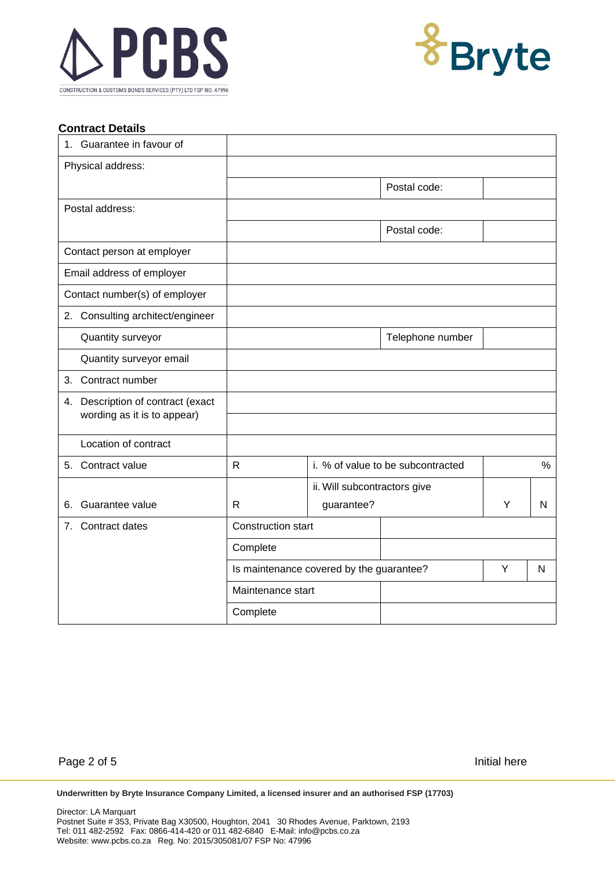



### **Contract Details**

| 1. Guarantee in favour of                                        |                                          |                              |                                   |   |      |  |
|------------------------------------------------------------------|------------------------------------------|------------------------------|-----------------------------------|---|------|--|
| Physical address:                                                |                                          |                              |                                   |   |      |  |
|                                                                  |                                          |                              | Postal code:                      |   |      |  |
| Postal address:                                                  |                                          |                              |                                   |   |      |  |
|                                                                  |                                          |                              | Postal code:                      |   |      |  |
| Contact person at employer                                       |                                          |                              |                                   |   |      |  |
| Email address of employer                                        |                                          |                              |                                   |   |      |  |
| Contact number(s) of employer                                    |                                          |                              |                                   |   |      |  |
| 2. Consulting architect/engineer                                 |                                          |                              |                                   |   |      |  |
| Quantity surveyor                                                |                                          |                              | Telephone number                  |   |      |  |
| Quantity surveyor email                                          |                                          |                              |                                   |   |      |  |
| 3. Contract number                                               |                                          |                              |                                   |   |      |  |
| 4. Description of contract (exact<br>wording as it is to appear) |                                          |                              |                                   |   |      |  |
| Location of contract                                             |                                          |                              |                                   |   |      |  |
| 5. Contract value                                                | R                                        |                              | i. % of value to be subcontracted |   | $\%$ |  |
|                                                                  |                                          | ii. Will subcontractors give |                                   |   |      |  |
| Guarantee value<br>6.                                            | $\mathsf{R}$                             | guarantee?                   |                                   | Y | N    |  |
| 7.<br>Contract dates                                             | <b>Construction start</b>                |                              |                                   |   |      |  |
|                                                                  | Complete                                 |                              |                                   |   |      |  |
|                                                                  | Is maintenance covered by the guarantee? |                              |                                   | Y | N    |  |
|                                                                  | Maintenance start                        |                              |                                   |   |      |  |
|                                                                  | Complete                                 |                              |                                   |   |      |  |

Page 2 of 5 Initial here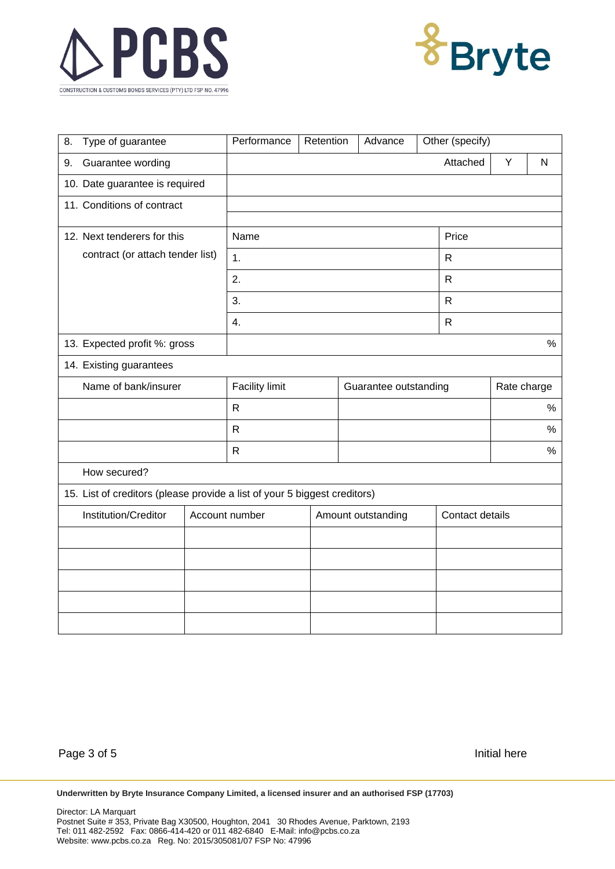



| Type of guarantee<br>8.                                                   |                             | Performance           |  | Other (specify)<br>Retention<br>Advance |              |             |                 |      |
|---------------------------------------------------------------------------|-----------------------------|-----------------------|--|-----------------------------------------|--------------|-------------|-----------------|------|
| Guarantee wording<br>9.                                                   |                             |                       |  |                                         |              | Attached    | Υ               | N    |
| 10. Date guarantee is required                                            |                             |                       |  |                                         |              |             |                 |      |
| 11. Conditions of contract                                                |                             |                       |  |                                         |              |             |                 |      |
|                                                                           |                             | Name                  |  |                                         |              | Price       |                 |      |
|                                                                           | 12. Next tenderers for this |                       |  |                                         |              |             |                 |      |
| contract (or attach tender list)                                          |                             | 1.                    |  |                                         | ${\sf R}$    |             |                 |      |
|                                                                           |                             | 2.                    |  |                                         | ${\sf R}$    |             |                 |      |
|                                                                           |                             | 3.                    |  |                                         | $\mathsf{R}$ |             |                 |      |
|                                                                           |                             | 4.                    |  |                                         | $\mathsf{R}$ |             |                 |      |
| 13. Expected profit %: gross                                              |                             |                       |  |                                         |              |             |                 | $\%$ |
| 14. Existing guarantees                                                   |                             |                       |  |                                         |              |             |                 |      |
| Name of bank/insurer                                                      |                             | <b>Facility limit</b> |  | Guarantee outstanding                   |              | Rate charge |                 |      |
|                                                                           |                             | $\mathsf{R}$          |  |                                         |              |             | %               |      |
|                                                                           |                             | $\mathsf R$           |  |                                         |              |             | %               |      |
|                                                                           |                             | $\mathsf{R}$          |  |                                         |              |             | $\%$            |      |
| How secured?                                                              |                             |                       |  |                                         |              |             |                 |      |
| 15. List of creditors (please provide a list of your 5 biggest creditors) |                             |                       |  |                                         |              |             |                 |      |
| Institution/Creditor                                                      |                             | Account number        |  | Amount outstanding                      |              |             | Contact details |      |
|                                                                           |                             |                       |  |                                         |              |             |                 |      |
|                                                                           |                             |                       |  |                                         |              |             |                 |      |
|                                                                           |                             |                       |  |                                         |              |             |                 |      |
|                                                                           |                             |                       |  |                                         |              |             |                 |      |
|                                                                           |                             |                       |  |                                         |              |             |                 |      |

Page 3 of 5 Initial here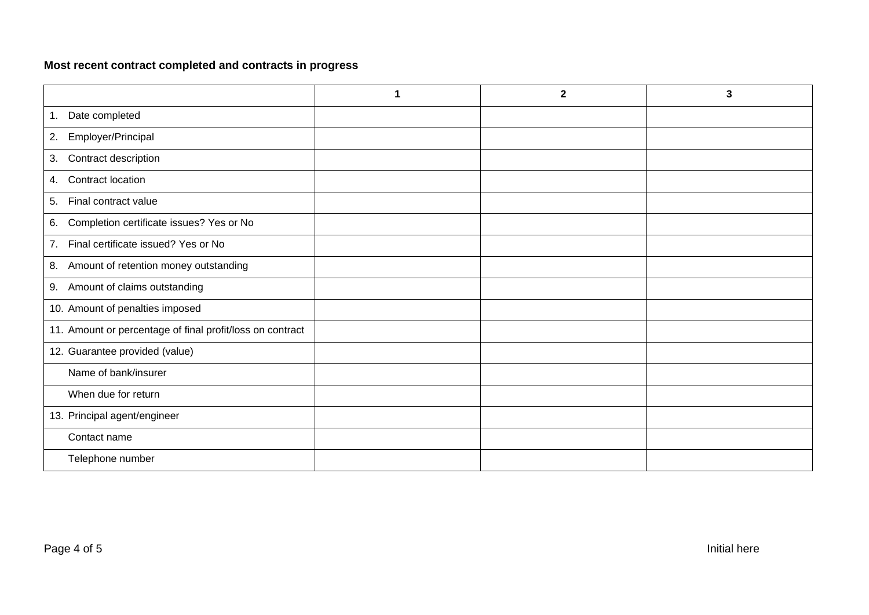# **Most recent contract completed and contracts in progress**

|                                                           | 1 | $\overline{\mathbf{2}}$ | $\mathbf{3}$ |
|-----------------------------------------------------------|---|-------------------------|--------------|
| Date completed<br>1.                                      |   |                         |              |
| Employer/Principal<br>2.                                  |   |                         |              |
| Contract description<br>3.                                |   |                         |              |
| Contract location<br>4.                                   |   |                         |              |
| Final contract value<br>5.                                |   |                         |              |
| Completion certificate issues? Yes or No<br>6.            |   |                         |              |
| Final certificate issued? Yes or No<br>7.                 |   |                         |              |
| Amount of retention money outstanding<br>8.               |   |                         |              |
| Amount of claims outstanding<br>9.                        |   |                         |              |
| 10. Amount of penalties imposed                           |   |                         |              |
| 11. Amount or percentage of final profit/loss on contract |   |                         |              |
| 12. Guarantee provided (value)                            |   |                         |              |
| Name of bank/insurer                                      |   |                         |              |
| When due for return                                       |   |                         |              |
| 13. Principal agent/engineer                              |   |                         |              |
| Contact name                                              |   |                         |              |
| Telephone number                                          |   |                         |              |